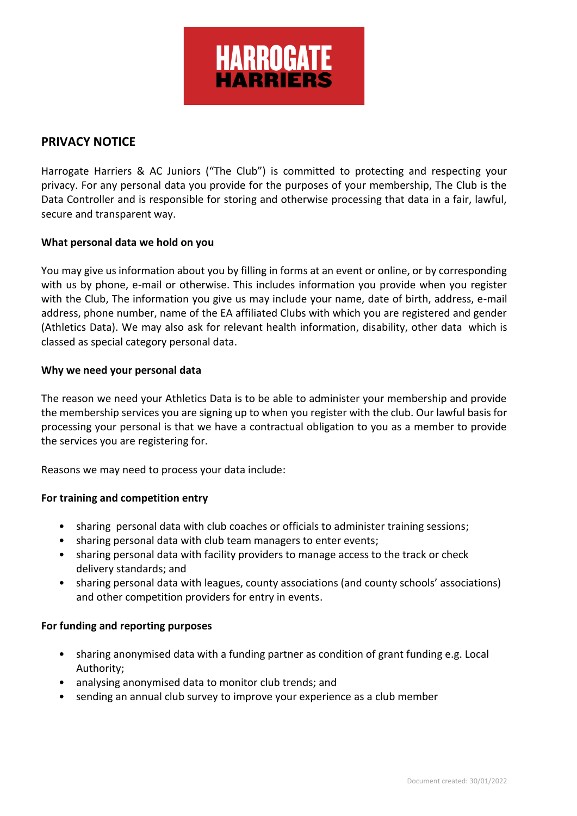

# **PRIVACY NOTICE**

Harrogate Harriers & AC Juniors ("The Club") is committed to protecting and respecting your privacy. For any personal data you provide for the purposes of your membership, The Club is the Data Controller and is responsible for storing and otherwise processing that data in a fair, lawful, secure and transparent way.

## **What personal data we hold on you**

You may give us information about you by filling in forms at an event or online, or by corresponding with us by phone, e-mail or otherwise. This includes information you provide when you register with the Club, The information you give us may include your name, date of birth, address, e-mail address, phone number, name of the EA affiliated Clubs with which you are registered and gender (Athletics Data). We may also ask for relevant health information, disability, other data which is classed as special category personal data.

## **Why we need your personal data**

The reason we need your Athletics Data is to be able to administer your membership and provide the membership services you are signing up to when you register with the club. Our lawful basis for processing your personal is that we have a contractual obligation to you as a member to provide the services you are registering for.

Reasons we may need to process your data include:

## **For training and competition entry**

- sharing personal data with club coaches or officials to administer training sessions;
- sharing personal data with club team managers to enter events;
- sharing personal data with facility providers to manage access to the track or check delivery standards; and
- sharing personal data with leagues, county associations (and county schools' associations) and other competition providers for entry in events.

## **For funding and reporting purposes**

- sharing anonymised data with a funding partner as condition of grant funding e.g. Local Authority;
- analysing anonymised data to monitor club trends; and
- sending an annual club survey to improve your experience as a club member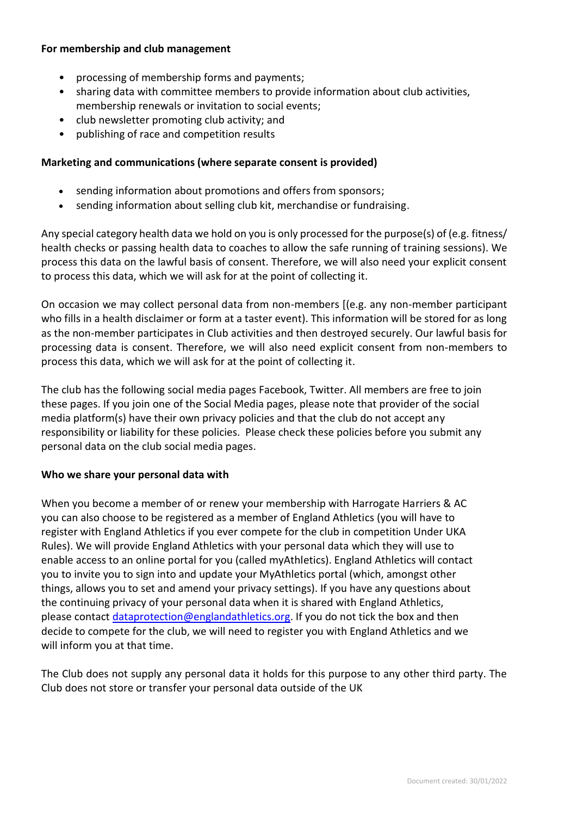## **For membership and club management**

- processing of membership forms and payments;
- sharing data with committee members to provide information about club activities, membership renewals or invitation to social events;
- club newsletter promoting club activity; and
- publishing of race and competition results

## **Marketing and communications (where separate consent is provided)**

- sending information about promotions and offers from sponsors;
- sending information about selling club kit, merchandise or fundraising.

Any special category health data we hold on you is only processed for the purpose(s) of (e.g. fitness/ health checks or passing health data to coaches to allow the safe running of training sessions). We process this data on the lawful basis of consent. Therefore, we will also need your explicit consent to process this data, which we will ask for at the point of collecting it.

On occasion we may collect personal data from non-members [(e.g. any non-member participant who fills in a health disclaimer or form at a taster event). This information will be stored for as long as the non-member participates in Club activities and then destroyed securely. Our lawful basis for processing data is consent. Therefore, we will also need explicit consent from non-members to process this data, which we will ask for at the point of collecting it.

The club has the following social media pages Facebook, Twitter. All members are free to join these pages. If you join one of the Social Media pages, please note that provider of the social media platform(s) have their own privacy policies and that the club do not accept any responsibility or liability for these policies.  Please check these policies before you submit any personal data on the club social media pages.

## **Who we share your personal data with**

When you become a member of or renew your membership with Harrogate Harriers & AC you can also choose to be registered as a member of England Athletics (you will have to register with England Athletics if you ever compete for the club in competition Under UKA Rules). We will provide England Athletics with your personal data which they will use to enable access to an online portal for you (called myAthletics). England Athletics will contact you to invite you to sign into and update your MyAthletics portal (which, amongst other things, allows you to set and amend your privacy settings). If you have any questions about the continuing privacy of your personal data when it is shared with England Athletics, please contact [dataprotection@englandathletics.org.](mailto:dataprotection@englandathletics.org) If you do not tick the box and then decide to compete for the club, we will need to register you with England Athletics and we will inform you at that time.

The Club does not supply any personal data it holds for this purpose to any other third party. The Club does not store or transfer your personal data outside of the UK